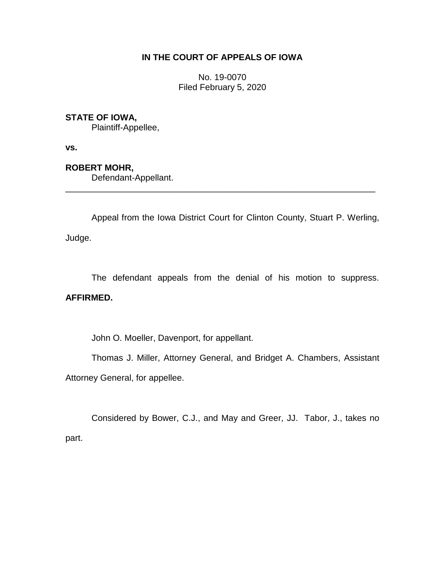# **IN THE COURT OF APPEALS OF IOWA**

No. 19-0070 Filed February 5, 2020

# **STATE OF IOWA,**

Plaintiff-Appellee,

**vs.**

## **ROBERT MOHR,**

Defendant-Appellant.

Appeal from the Iowa District Court for Clinton County, Stuart P. Werling, Judge.

\_\_\_\_\_\_\_\_\_\_\_\_\_\_\_\_\_\_\_\_\_\_\_\_\_\_\_\_\_\_\_\_\_\_\_\_\_\_\_\_\_\_\_\_\_\_\_\_\_\_\_\_\_\_\_\_\_\_\_\_\_\_\_\_

The defendant appeals from the denial of his motion to suppress.

### **AFFIRMED.**

John O. Moeller, Davenport, for appellant.

Thomas J. Miller, Attorney General, and Bridget A. Chambers, Assistant Attorney General, for appellee.

Considered by Bower, C.J., and May and Greer, JJ. Tabor, J., takes no part.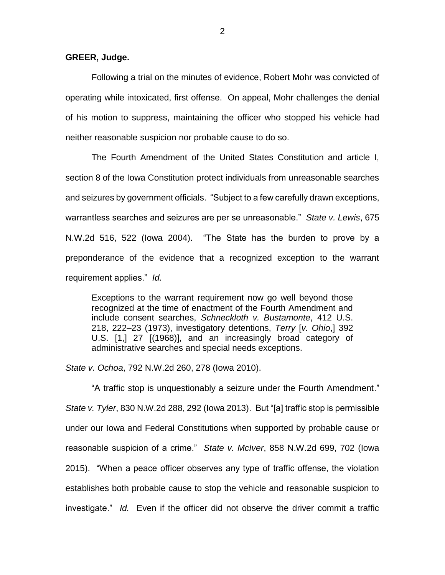**GREER, Judge.**

Following a trial on the minutes of evidence, Robert Mohr was convicted of operating while intoxicated, first offense. On appeal, Mohr challenges the denial of his motion to suppress, maintaining the officer who stopped his vehicle had neither reasonable suspicion nor probable cause to do so.

The Fourth Amendment of the United States Constitution and article I, section 8 of the Iowa Constitution protect individuals from unreasonable searches and seizures by government officials. "Subject to a few carefully drawn exceptions, warrantless searches and seizures are per se unreasonable." *State v. Lewis*, 675 N.W.2d 516, 522 (Iowa 2004). "The State has the burden to prove by a preponderance of the evidence that a recognized exception to the warrant requirement applies." *Id.*

Exceptions to the warrant requirement now go well beyond those recognized at the time of enactment of the Fourth Amendment and include consent searches, *Schneckloth v. Bustamonte*, 412 U.S. 218, 222–23 (1973), investigatory detentions, *Terry* [*v. Ohio*,] 392 U.S. [1,] 27 [(1968)], and an increasingly broad category of administrative searches and special needs exceptions.

*State v. Ochoa*, 792 N.W.2d 260, 278 (Iowa 2010).

"A traffic stop is unquestionably a seizure under the Fourth Amendment." *State v. Tyler*, 830 N.W.2d 288, 292 (Iowa 2013). But "[a] traffic stop is permissible under our Iowa and Federal Constitutions when supported by probable cause or reasonable suspicion of a crime." *State v. McIver*, 858 N.W.2d 699, 702 (Iowa 2015). "When a peace officer observes any type of traffic offense, the violation establishes both probable cause to stop the vehicle and reasonable suspicion to investigate." *Id.* Even if the officer did not observe the driver commit a traffic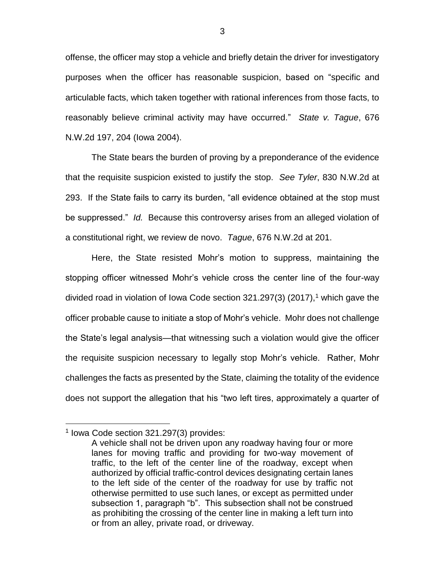offense, the officer may stop a vehicle and briefly detain the driver for investigatory purposes when the officer has reasonable suspicion, based on "specific and articulable facts, which taken together with rational inferences from those facts, to reasonably believe criminal activity may have occurred." *State v. Tague*, 676 N.W.2d 197, 204 (Iowa 2004).

The State bears the burden of proving by a preponderance of the evidence that the requisite suspicion existed to justify the stop. *See Tyler*, 830 N.W.2d at 293. If the State fails to carry its burden, "all evidence obtained at the stop must be suppressed." *Id.* Because this controversy arises from an alleged violation of a constitutional right, we review de novo. *Tague*, 676 N.W.2d at 201.

Here, the State resisted Mohr's motion to suppress, maintaining the stopping officer witnessed Mohr's vehicle cross the center line of the four-way divided road in violation of Iowa Code section  $321.297(3)$  (2017),<sup>1</sup> which gave the officer probable cause to initiate a stop of Mohr's vehicle. Mohr does not challenge the State's legal analysis—that witnessing such a violation would give the officer the requisite suspicion necessary to legally stop Mohr's vehicle. Rather, Mohr challenges the facts as presented by the State, claiming the totality of the evidence does not support the allegation that his "two left tires, approximately a quarter of

 $\overline{a}$ 

<sup>1</sup> Iowa Code section 321.297(3) provides:

A vehicle shall not be driven upon any roadway having four or more lanes for moving traffic and providing for two-way movement of traffic, to the left of the center line of the roadway, except when authorized by official traffic-control devices designating certain lanes to the left side of the center of the roadway for use by traffic not otherwise permitted to use such lanes, or except as permitted under subsection 1, paragraph "b". This subsection shall not be construed as prohibiting the crossing of the center line in making a left turn into or from an alley, private road, or driveway.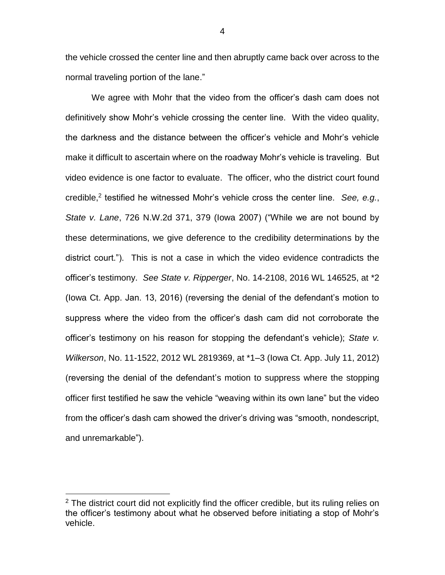the vehicle crossed the center line and then abruptly came back over across to the normal traveling portion of the lane."

We agree with Mohr that the video from the officer's dash cam does not definitively show Mohr's vehicle crossing the center line. With the video quality, the darkness and the distance between the officer's vehicle and Mohr's vehicle make it difficult to ascertain where on the roadway Mohr's vehicle is traveling. But video evidence is one factor to evaluate. The officer, who the district court found credible,<sup>2</sup> testified he witnessed Mohr's vehicle cross the center line. See, e.g., *State v. Lane*, 726 N.W.2d 371, 379 (Iowa 2007) ("While we are not bound by these determinations, we give deference to the credibility determinations by the district court."). This is not a case in which the video evidence contradicts the officer's testimony. *See State v. Ripperger*, No. 14-2108, 2016 WL 146525, at \*2 (Iowa Ct. App. Jan. 13, 2016) (reversing the denial of the defendant's motion to suppress where the video from the officer's dash cam did not corroborate the officer's testimony on his reason for stopping the defendant's vehicle); *State v. Wilkerson*, No. 11-1522, 2012 WL 2819369, at \*1–3 (Iowa Ct. App. July 11, 2012) (reversing the denial of the defendant's motion to suppress where the stopping officer first testified he saw the vehicle "weaving within its own lane" but the video from the officer's dash cam showed the driver's driving was "smooth, nondescript, and unremarkable").

 $\overline{a}$ 

 $2$  The district court did not explicitly find the officer credible, but its ruling relies on the officer's testimony about what he observed before initiating a stop of Mohr's vehicle.